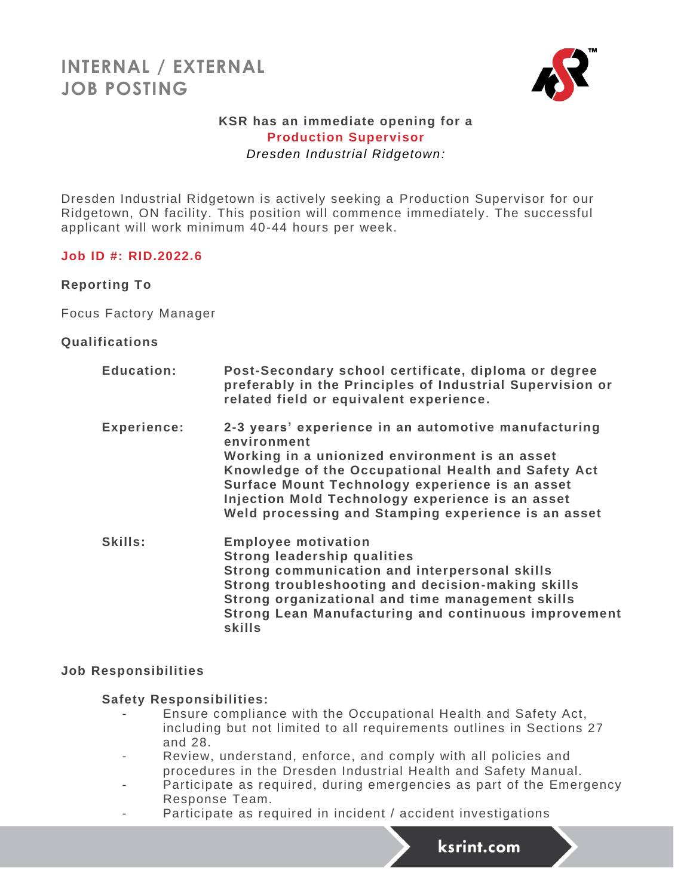## **INTERNAL / EXTERNAL JOB POSTING**



## **KSR has an immediate opening for a Production Supervisor** *Dresden Industrial Ridgetown:*

Dresden Industrial Ridgetown is actively seeking a Production Supervisor for our Ridgetown, ON facility. This position will commence immediately. The successful applicant will work minimum 40-44 hours per week.

#### **Job ID #: RID.2022.6**

#### **Reporting To**

Focus Factory Manager

#### **Qualifications**

| <b>Education:</b>  | Post-Secondary school certificate, diploma or degree<br>preferably in the Principles of Industrial Supervision or<br>related field or equivalent experience.                                                                                                                                                                               |
|--------------------|--------------------------------------------------------------------------------------------------------------------------------------------------------------------------------------------------------------------------------------------------------------------------------------------------------------------------------------------|
| <b>Experience:</b> | 2-3 years' experience in an automotive manufacturing<br>environment<br>Working in a unionized environment is an asset<br>Knowledge of the Occupational Health and Safety Act<br>Surface Mount Technology experience is an asset<br>Injection Mold Technology experience is an asset<br>Weld processing and Stamping experience is an asset |
| Skills:            | <b>Employee motivation</b><br><b>Strong leadership qualities</b><br>Strong communication and interpersonal skills<br>Strong troubleshooting and decision-making skills<br>Strong organizational and time management skills<br><b>Strong Lean Manufacturing and continuous improvement</b><br>skills                                        |

#### **Job Responsibilities**

#### **Safety Responsibilities:**

- Ensure compliance with the Occupational Health and Safety Act, including but not limited to all requirements outlines in Sections 27 and 28.
- Review, understand, enforce, and comply with all policies and procedures in the Dresden Industrial Health and Safety Manual.
- Participate as required, during emergencies as part of the Emergency Response Team.
- Participate as required in incident / accident investigations